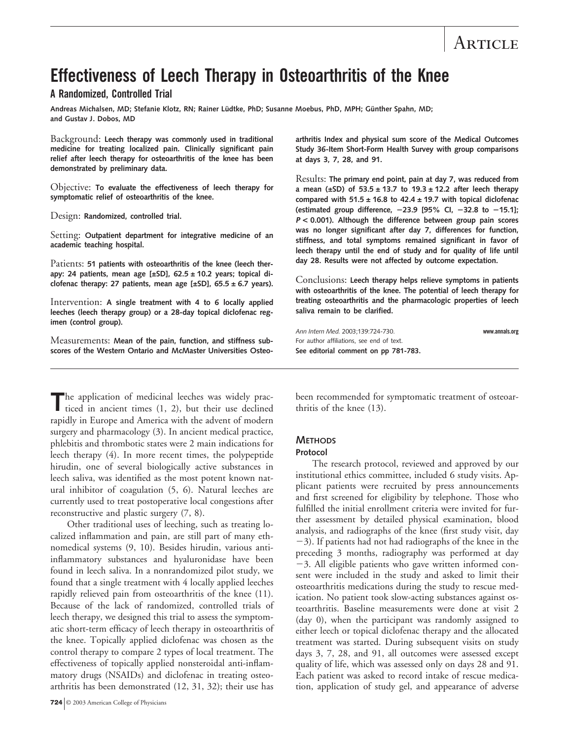# **Effectiveness of Leech Therapy in Osteoarthritis of the Knee**

# **A Randomized, Controlled Trial**

Andreas Michalsen, MD; Stefanie Klotz, RN; Rainer Lüdtke, PhD; Susanne Moebus, PhD, MPH; Günther Spahn, MD; **and Gustav J. Dobos, MD**

Background: **Leech therapy was commonly used in traditional medicine for treating localized pain. Clinically significant pain relief after leech therapy for osteoarthritis of the knee has been demonstrated by preliminary data.**

Objective: **To evaluate the effectiveness of leech therapy for symptomatic relief of osteoarthritis of the knee.**

Design: **Randomized, controlled trial.**

Setting: **Outpatient department for integrative medicine of an academic teaching hospital.**

Patients: **51 patients with osteoarthritis of the knee (leech therapy: 24 patients, mean age [±SD], 62.5 ± 10.2 years; topical diclofenac therapy: 27 patients, mean age [±SD], 65.5 ± 6.7 years).**

Intervention: **A single treatment with 4 to 6 locally applied leeches (leech therapy group) or a 28-day topical diclofenac regimen (control group).**

Measurements: **Mean of the pain, function, and stiffness subscores of the Western Ontario and McMaster Universities Osteo-**

The application of medicinal leeches was widely prac-<br>ticed in ancient times (1, 2), but their use declined rapidly in Europe and America with the advent of modern surgery and pharmacology (3). In ancient medical practice, phlebitis and thrombotic states were 2 main indications for leech therapy (4). In more recent times, the polypeptide hirudin, one of several biologically active substances in leech saliva, was identified as the most potent known natural inhibitor of coagulation (5, 6). Natural leeches are currently used to treat postoperative local congestions after reconstructive and plastic surgery (7, 8).

Other traditional uses of leeching, such as treating localized inflammation and pain, are still part of many ethnomedical systems (9, 10). Besides hirudin, various antiinflammatory substances and hyaluronidase have been found in leech saliva. In a nonrandomized pilot study, we found that a single treatment with 4 locally applied leeches rapidly relieved pain from osteoarthritis of the knee (11). Because of the lack of randomized, controlled trials of leech therapy, we designed this trial to assess the symptomatic short-term efficacy of leech therapy in osteoarthritis of the knee. Topically applied diclofenac was chosen as the control therapy to compare 2 types of local treatment. The effectiveness of topically applied nonsteroidal anti-inflammatory drugs (NSAIDs) and diclofenac in treating osteoarthritis has been demonstrated (12, 31, 32); their use has **arthritis Index and physical sum score of the Medical Outcomes Study 36-Item Short-Form Health Survey with group comparisons at days 3, 7, 28, and 91.**

Results: **The primary end point, pain at day 7, was reduced from a mean (±SD) of 53.5 ± 13.7 to 19.3 ± 12.2 after leech therapy compared with 51.5 ± 16.8 to 42.4 ± 19.7 with topical diclofenac (estimated group difference, 23.9 [95% CI, 32.8 to 15.1]; <sup>P</sup> < 0.001). Although the difference between group pain scores was no longer significant after day 7, differences for function, stiffness, and total symptoms remained significant in favor of leech therapy until the end of study and for quality of life until day 28. Results were not affected by outcome expectation.**

Conclusions: **Leech therapy helps relieve symptoms in patients with osteoarthritis of the knee. The potential of leech therapy for treating osteoarthritis and the pharmacologic properties of leech saliva remain to be clarified.**

*Ann Intern Med.* 2003;139:724-730. **www.annals.org** For author affiliations, see end of text. **See editorial comment on pp 781-783.**

been recommended for symptomatic treatment of osteoarthritis of the knee (13).

#### **METHODS**

## **Protocol**

The research protocol, reviewed and approved by our institutional ethics committee, included 6 study visits. Applicant patients were recruited by press announcements and first screened for eligibility by telephone. Those who fulfilled the initial enrollment criteria were invited for further assessment by detailed physical examination, blood analysis, and radiographs of the knee (first study visit, day  $-3$ ). If patients had not had radiographs of the knee in the preceding 3 months, radiography was performed at day 3. All eligible patients who gave written informed consent were included in the study and asked to limit their osteoarthritis medications during the study to rescue medication. No patient took slow-acting substances against osteoarthritis. Baseline measurements were done at visit 2 (day 0), when the participant was randomly assigned to either leech or topical diclofenac therapy and the allocated treatment was started. During subsequent visits on study days 3, 7, 28, and 91, all outcomes were assessed except quality of life, which was assessed only on days 28 and 91. Each patient was asked to record intake of rescue medication, application of study gel, and appearance of adverse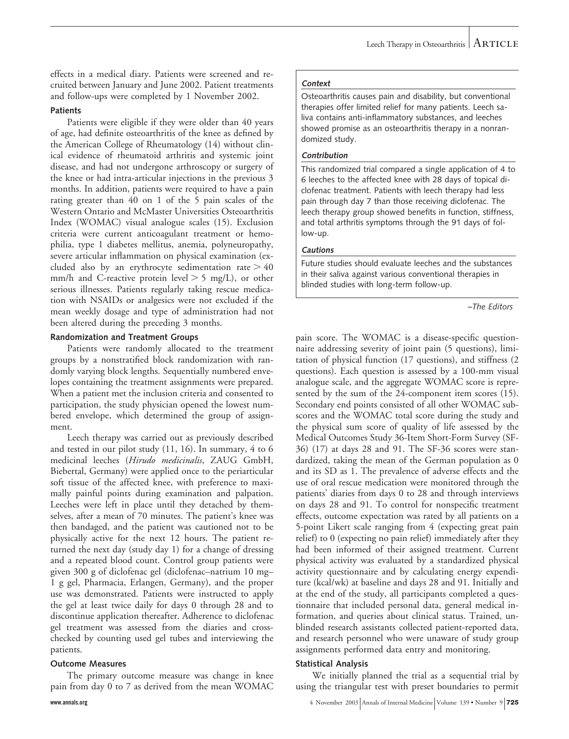effects in a medical diary. Patients were screened and recruited between January and June 2002. Patient treatments and follow-ups were completed by 1 November 2002.

### **Patients**

Patients were eligible if they were older than 40 years of age, had definite osteoarthritis of the knee as defined by the American College of Rheumatology (14) without clinical evidence of rheumatoid arthritis and systemic joint disease, and had not undergone arthroscopy or surgery of the knee or had intra-articular injections in the previous 3 months. In addition, patients were required to have a pain rating greater than 40 on 1 of the 5 pain scales of the Western Ontario and McMaster Universities Osteoarthritis Index (WOMAC) visual analogue scales (15). Exclusion criteria were current anticoagulant treatment or hemophilia, type 1 diabetes mellitus, anemia, polyneuropathy, severe articular inflammation on physical examination (excluded also by an erythrocyte sedimentation rate  $> 40$ mm/h and C-reactive protein level  $> 5$  mg/L), or other serious illnesses. Patients regularly taking rescue medication with NSAIDs or analgesics were not excluded if the mean weekly dosage and type of administration had not been altered during the preceding 3 months.

## **Randomization and Treatment Groups**

Patients were randomly allocated to the treatment groups by a nonstratified block randomization with randomly varying block lengths. Sequentially numbered envelopes containing the treatment assignments were prepared. When a patient met the inclusion criteria and consented to participation, the study physician opened the lowest numbered envelope, which determined the group of assignment.

Leech therapy was carried out as previously described and tested in our pilot study (11, 16). In summary, 4 to 6 medicinal leeches (*Hirudo medicinalis*, ZAUG GmbH, Biebertal, Germany) were applied once to the periarticular soft tissue of the affected knee, with preference to maximally painful points during examination and palpation. Leeches were left in place until they detached by themselves, after a mean of 70 minutes. The patient's knee was then bandaged, and the patient was cautioned not to be physically active for the next 12 hours. The patient returned the next day (study day 1) for a change of dressing and a repeated blood count. Control group patients were given 300 g of diclofenac gel (diclofenac–natrium 10 mg– 1 g gel, Pharmacia, Erlangen, Germany), and the proper use was demonstrated. Patients were instructed to apply the gel at least twice daily for days 0 through 28 and to discontinue application thereafter. Adherence to diclofenac gel treatment was assessed from the diaries and crosschecked by counting used gel tubes and interviewing the patients.

#### **Outcome Measures**

The primary outcome measure was change in knee pain from day 0 to 7 as derived from the mean WOMAC

#### **Context**

Osteoarthritis causes pain and disability, but conventional therapies offer limited relief for many patients. Leech saliva contains anti-inflammatory substances, and leeches showed promise as an osteoarthritis therapy in a nonrandomized study.

#### **Contribution**

This randomized trial compared a single application of 4 to 6 leeches to the affected knee with 28 days of topical diclofenac treatment. Patients with leech therapy had less pain through day 7 than those receiving diclofenac. The leech therapy group showed benefits in function, stiffness, and total arthritis symptoms through the 91 days of follow-up.

# **Cautions**

Future studies should evaluate leeches and the substances in their saliva against various conventional therapies in blinded studies with long-term follow-up.

*–The Editors*

pain score. The WOMAC is a disease-specific questionnaire addressing severity of joint pain (5 questions), limitation of physical function (17 questions), and stiffness (2 questions). Each question is assessed by a 100-mm visual analogue scale, and the aggregate WOMAC score is represented by the sum of the 24-component item scores (15). Secondary end points consisted of all other WOMAC subscores and the WOMAC total score during the study and the physical sum score of quality of life assessed by the Medical Outcomes Study 36-Item Short-Form Survey (SF-36) (17) at days 28 and 91. The SF-36 scores were standardized, taking the mean of the German population as 0 and its SD as 1. The prevalence of adverse effects and the use of oral rescue medication were monitored through the patients' diaries from days 0 to 28 and through interviews on days 28 and 91. To control for nonspecific treatment effects, outcome expectation was rated by all patients on a 5-point Likert scale ranging from 4 (expecting great pain relief) to 0 (expecting no pain relief) immediately after they had been informed of their assigned treatment. Current physical activity was evaluated by a standardized physical activity questionnaire and by calculating energy expenditure (kcal/wk) at baseline and days 28 and 91. Initially and at the end of the study, all participants completed a questionnaire that included personal data, general medical information, and queries about clinical status. Trained, unblinded research assistants collected patient-reported data, and research personnel who were unaware of study group assignments performed data entry and monitoring.

#### **Statistical Analysis**

We initially planned the trial as a sequential trial by using the triangular test with preset boundaries to permit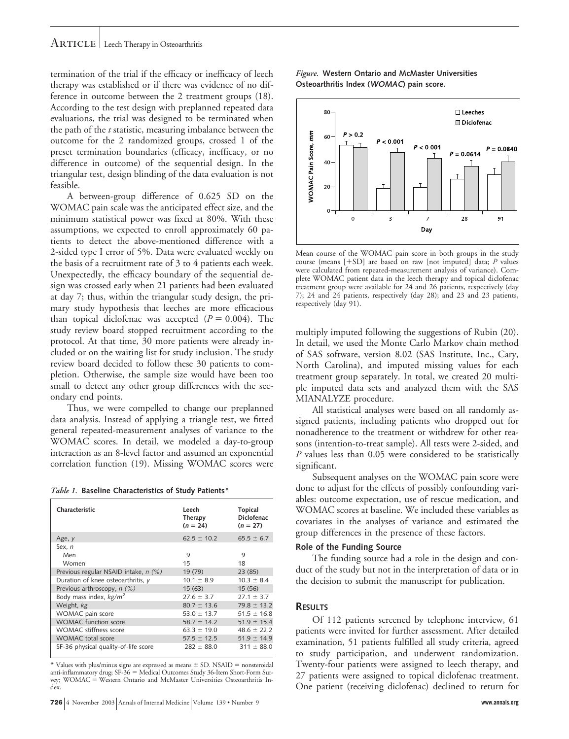# Article Leech Therapy in Osteoarthritis

termination of the trial if the efficacy or inefficacy of leech therapy was established or if there was evidence of no difference in outcome between the 2 treatment groups (18). According to the test design with preplanned repeated data evaluations, the trial was designed to be terminated when the path of the *t* statistic, measuring imbalance between the outcome for the 2 randomized groups, crossed 1 of the preset termination boundaries (efficacy, inefficacy, or no difference in outcome) of the sequential design. In the triangular test, design blinding of the data evaluation is not feasible.

A between-group difference of 0.625 SD on the WOMAC pain scale was the anticipated effect size, and the minimum statistical power was fixed at 80%. With these assumptions, we expected to enroll approximately 60 patients to detect the above-mentioned difference with a 2-sided type I error of 5%. Data were evaluated weekly on the basis of a recruitment rate of 3 to 4 patients each week. Unexpectedly, the efficacy boundary of the sequential design was crossed early when 21 patients had been evaluated at day 7; thus, within the triangular study design, the primary study hypothesis that leeches are more efficacious than topical diclofenac was accepted  $(P = 0.004)$ . The study review board stopped recruitment according to the protocol. At that time, 30 more patients were already included or on the waiting list for study inclusion. The study review board decided to follow these 30 patients to completion. Otherwise, the sample size would have been too small to detect any other group differences with the secondary end points.

Thus, we were compelled to change our preplanned data analysis. Instead of applying a triangle test, we fitted general repeated-measurement analyses of variance to the WOMAC scores. In detail, we modeled a day-to-group interaction as an 8-level factor and assumed an exponential correlation function (19). Missing WOMAC scores were

|  | Table 1. Baseline Characteristics of Study Patients* |  |  |
|--|------------------------------------------------------|--|--|
|  |                                                      |  |  |

| Characteristic                       | Leech<br>Therapy<br>$(n = 24)$ | Topical<br><b>Diclofenac</b><br>$(n = 27)$ |
|--------------------------------------|--------------------------------|--------------------------------------------|
| Age, y                               | $62.5 \pm 10.2$                | $65.5 \pm 6.7$                             |
| Sex, n                               |                                |                                            |
| Men                                  | 9                              | 9                                          |
| Women                                | 15                             | 18                                         |
| Previous regular NSAID intake, n (%) | 19 (79)                        | 23 (85)                                    |
| Duration of knee osteoarthritis, y   | $10.1 \pm 8.9$                 | $10.3 \pm 8.4$                             |
| Previous arthroscopy, $n$ (%)        | 15(63)                         | 15(56)                                     |
| Body mass index, $kg/m^2$            | $27.6 \pm 3.7$                 | $27.1 \pm 3.7$                             |
| Weight, kg                           | $80.7 \pm 13.6$                | $79.8 \pm 13.2$                            |
| WOMAC pain score                     | $53.0 \pm 13.7$                | $51.5 \pm 16.8$                            |
| <b>WOMAC</b> function score          | $58.7 \pm 14.2$                | $51.9 \pm 15.4$                            |
| <b>WOMAC</b> stiffness score         | $63.3 \pm 19.0$                | $48.6 \pm 22.2$                            |
| <b>WOMAC</b> total score             | $57.5 \pm 12.5$                | $51.9 \pm 14.9$                            |
| SF-36 physical quality-of-life score | $282 \pm 88.0$                 | $311 \pm 88.0$                             |

\* Values with plus/minus signs are expressed as means  $\pm$  SD. NSAID = nonsteroidal anti-inflammatory drug; SF-36 = Medical Outcomes Study 36-Item Short-Form Survey; WOMAC = Western Ontario and McMaster Universities Osteoarthritis Index.

*Figure.* **Western Ontario and McMaster Universities Osteoarthritis Index (WOMAC) pain score.**



Mean course of the WOMAC pain score in both groups in the study course (means [+SD] are based on raw [not imputed] data; *P* values were calculated from repeated-measurement analysis of variance). Complete WOMAC patient data in the leech therapy and topical diclofenac treatment group were available for 24 and 26 patients, respectively (day 7); 24 and 24 patients, respectively (day 28); and 23 and 23 patients, respectively (day 91).

multiply imputed following the suggestions of Rubin (20). In detail, we used the Monte Carlo Markov chain method of SAS software, version 8.02 (SAS Institute, Inc., Cary, North Carolina), and imputed missing values for each treatment group separately. In total, we created 20 multiple imputed data sets and analyzed them with the SAS MIANALYZE procedure.

All statistical analyses were based on all randomly assigned patients, including patients who dropped out for nonadherence to the treatment or withdrew for other reasons (intention-to-treat sample). All tests were 2-sided, and *P* values less than 0.05 were considered to be statistically significant.

Subsequent analyses on the WOMAC pain score were done to adjust for the effects of possibly confounding variables: outcome expectation, use of rescue medication, and WOMAC scores at baseline. We included these variables as covariates in the analyses of variance and estimated the group differences in the presence of these factors.

#### **Role of the Funding Source**

The funding source had a role in the design and conduct of the study but not in the interpretation of data or in the decision to submit the manuscript for publication.

#### **RESULTS**

Of 112 patients screened by telephone interview, 61 patients were invited for further assessment. After detailed examination, 51 patients fulfilled all study criteria, agreed to study participation, and underwent randomization. Twenty-four patients were assigned to leech therapy, and 27 patients were assigned to topical diclofenac treatment. One patient (receiving diclofenac) declined to return for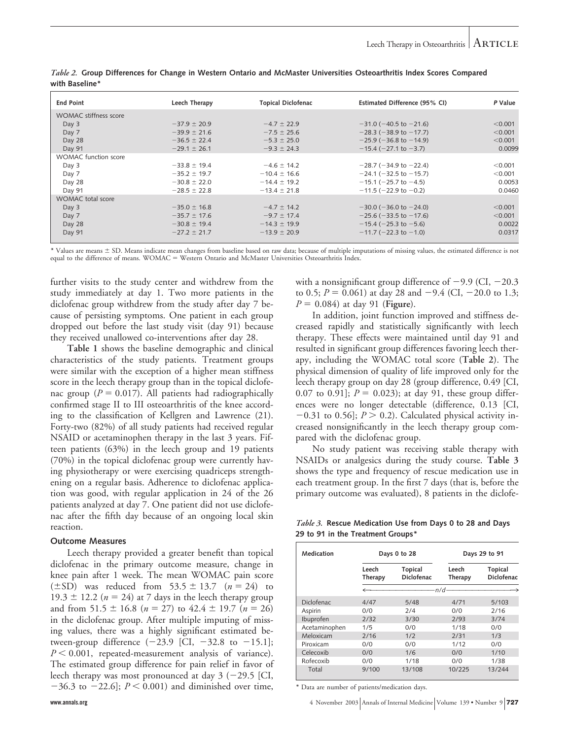| <b>End Point</b>             | Leech Therapy    | <b>Topical Diclofenac</b> | Estimated Difference (95% CI)  | P Value |
|------------------------------|------------------|---------------------------|--------------------------------|---------|
| <b>WOMAC</b> stiffness score |                  |                           |                                |         |
| Day 3                        | $-37.9 \pm 20.9$ | $-4.7 \pm 22.9$           | $-31.0$ ( $-40.5$ to $-21.6$ ) | < 0.001 |
| Day 7                        | $-39.9 \pm 21.6$ | $-7.5 \pm 25.6$           | $-28.3$ ( $-38.9$ to $-17.7$ ) | < 0.001 |
| Day 28                       | $-36.5 \pm 22.4$ | $-5.3 \pm 25.0$           | $-25.9$ ( $-36.8$ to $-14.9$ ) | < 0.001 |
| Day 91                       | $-29.1 \pm 26.1$ | $-9.3 \pm 24.3$           | $-15.4$ ( $-27.1$ to $-3.7$ )  | 0.0099  |
| <b>WOMAC</b> function score  |                  |                           |                                |         |
| Day 3                        | $-33.8 \pm 19.4$ | $-4.6 \pm 14.2$           | $-28.7$ ( $-34.9$ to $-22.4$ ) | < 0.001 |
| Day 7                        | $-35.2 \pm 19.7$ | $-10.4 \pm 16.6$          | $-24.1$ ( $-32.5$ to $-15.7$ ) | < 0.001 |
| Day 28                       | $-30.8 \pm 22.0$ | $-14.4 \pm 19.2$          | $-15.1$ (-25.7 to -4.5)        | 0.0053  |
| Day 91                       | $-28.5 \pm 22.8$ | $-13.4 \pm 21.8$          | $-11.5$ ( $-22.9$ to $-0.2$ )  | 0.0460  |
| <b>WOMAC</b> total score     |                  |                           |                                |         |
| Day 3                        | $-35.0 \pm 16.8$ | $-4.7 \pm 14.2$           | $-30.0$ ( $-36.0$ to $-24.0$ ) | < 0.001 |
| Day 7                        | $-35.7 \pm 17.6$ | $-9.7 \pm 17.4$           | $-25.6$ ( $-33.5$ to $-17.6$ ) | < 0.001 |
| Day 28                       | $-30.8 \pm 19.4$ | $-14.3 \pm 19.9$          | $-15.4$ (-25.3 to -5.6)        | 0.0022  |
| Day 91                       | $-27.2 \pm 21.7$ | $-13.9 \pm 20.9$          | $-11.7$ (-22.3 to -1.0)        | 0.0317  |

*Table 2.* **Group Differences for Change in Western Ontario and McMaster Universities Osteoarthritis Index Scores Compared with Baseline\***

\* Values are means ± SD. Means indicate mean changes from baseline based on raw data; because of multiple imputations of missing values, the estimated difference is not equal to the difference of means. WOMAC = Western Ontario and McMaster Universities Osteoarthritis Index.

further visits to the study center and withdrew from the study immediately at day 1. Two more patients in the diclofenac group withdrew from the study after day 7 because of persisting symptoms. One patient in each group dropped out before the last study visit (day 91) because they received unallowed co-interventions after day 28.

**Table 1** shows the baseline demographic and clinical characteristics of the study patients. Treatment groups were similar with the exception of a higher mean stiffness score in the leech therapy group than in the topical diclofenac group ( $P = 0.017$ ). All patients had radiographically confirmed stage II to III osteoarthritis of the knee according to the classification of Kellgren and Lawrence (21). Forty-two (82%) of all study patients had received regular NSAID or acetaminophen therapy in the last 3 years. Fifteen patients (63%) in the leech group and 19 patients (70%) in the topical diclofenac group were currently having physiotherapy or were exercising quadriceps strengthening on a regular basis. Adherence to diclofenac application was good, with regular application in 24 of the 26 patients analyzed at day 7. One patient did not use diclofenac after the fifth day because of an ongoing local skin reaction.

#### **Outcome Measures**

Leech therapy provided a greater benefit than topical diclofenac in the primary outcome measure, change in knee pain after 1 week. The mean WOMAC pain score  $(\pm SD)$  was reduced from 53.5  $\pm$  13.7 (*n* = 24) to 19.3  $\pm$  12.2 ( $n = 24$ ) at 7 days in the leech therapy group and from 51.5  $\pm$  16.8 (*n* = 27) to 42.4  $\pm$  19.7 (*n* = 26) in the diclofenac group. After multiple imputing of missing values, there was a highly significant estimated between-group difference  $(-23.9 \text{ [CI, } -32.8 \text{ to } -15.1];$  $P < 0.001$ , repeated-measurement analysis of variance). The estimated group difference for pain relief in favor of leech therapy was most pronounced at day  $3$  (-29.5 [CI,  $-36.3$  to  $-22.6$ ;  $P < 0.001$ ) and diminished over time,

with a nonsignificant group difference of  $-9.9$  (CI,  $-20.3$ ) to 0.5;  $P = 0.061$ ) at day 28 and  $-9.4$  (CI,  $-20.0$  to 1.3;  $P = 0.084$ ) at day 91 (**Figure**).

In addition, joint function improved and stiffness decreased rapidly and statistically significantly with leech therapy. These effects were maintained until day 91 and resulted in significant group differences favoring leech therapy, including the WOMAC total score (**Table 2**). The physical dimension of quality of life improved only for the leech therapy group on day 28 (group difference, 0.49 [CI, 0.07 to 0.91];  $P = 0.023$ ; at day 91, these group differences were no longer detectable (difference, 0.13 [CI,  $-0.31$  to 0.56];  $P > 0.2$ ). Calculated physical activity increased nonsignificantly in the leech therapy group compared with the diclofenac group.

No study patient was receiving stable therapy with NSAIDs or analgesics during the study course. **Table 3** shows the type and frequency of rescue medication use in each treatment group. In the first 7 days (that is, before the primary outcome was evaluated), 8 patients in the diclofe-

*Table 3.* **Rescue Medication Use from Days 0 to 28 and Days 29 to 91 in the Treatment Groups\***

| Medication        |                  | Days 0 to 28                 |                  | Days 29 to 91         |  |
|-------------------|------------------|------------------------------|------------------|-----------------------|--|
|                   | Leech<br>Therapy | <b>Topical</b><br>Diclofenac | Leech<br>Therapy | Topical<br>Diclofenac |  |
|                   |                  |                              | n/d              |                       |  |
| <b>Diclofenac</b> | 4/47             | 5/48                         | 4/71             | 5/103                 |  |
| Aspirin           | 0/0              | 2/4                          | 0/0              | 2/16                  |  |
| Ibuprofen         | 2/32             | 3/30                         | 2/93             | 3/74                  |  |
| Acetaminophen     | 1/5              | 0/0                          | 1/18             | 0/0                   |  |
| Meloxicam         | 2/16             | 1/2                          | 2/31             | 1/3                   |  |
| Piroxicam         | 0/0              | 0/0                          | 1/12             | 0/0                   |  |
| Celecoxib         | 0/0              | 1/6                          | 0/0              | 1/10                  |  |
| Rofecoxib         | 0/0              | 1/18                         | 0/0              | 1/38                  |  |
| Total             | 9/100            | 13/108                       | 10/225           | 13/244                |  |

\* Data are number of patients/medication days.

**www.annals.org** 4 November 2003 Annals of Internal Medicine Volume 139 • Number 9 **727**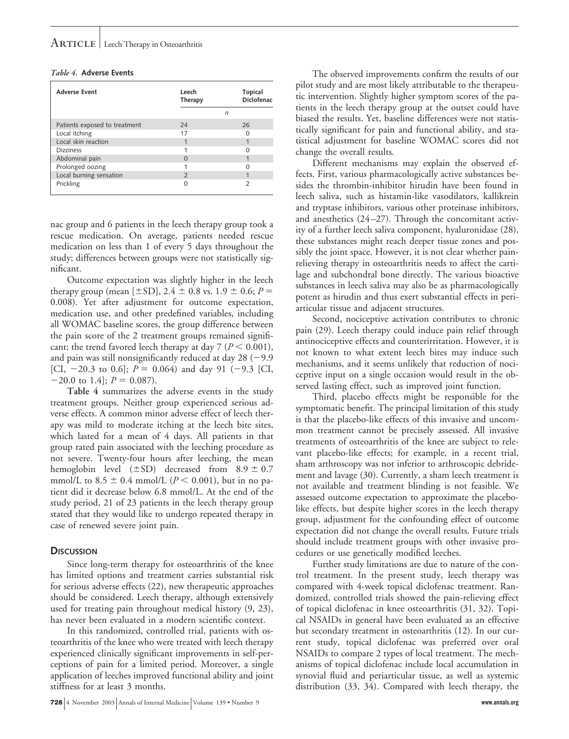# ARTICLE | Leech Therapy in Osteoarthritis

| <b>Adverse Event</b>          | Leech<br>Therapy | Topical<br>Diclofenac |  |
|-------------------------------|------------------|-----------------------|--|
|                               |                  | n                     |  |
| Patients exposed to treatment | 24               | 26                    |  |
| Local itching                 | 17               |                       |  |
| Local skin reaction           |                  |                       |  |
| <b>Dizziness</b>              |                  |                       |  |
| Abdominal pain                | ∩                |                       |  |
| Prolonged oozing              |                  |                       |  |
| Local burning sensation       | $\mathcal{P}$    |                       |  |
| Prickling                     |                  | フ                     |  |

nac group and 6 patients in the leech therapy group took a rescue medication. On average, patients needed rescue medication on less than 1 of every 5 days throughout the study; differences between groups were not statistically significant.

Outcome expectation was slightly higher in the leech therapy group (mean [ $\pm$ SD], 2.4  $\pm$  0.8 vs. 1.9  $\pm$  0.6; *P* = 0.008). Yet after adjustment for outcome expectation, medication use, and other predefined variables, including all WOMAC baseline scores, the group difference between the pain score of the 2 treatment groups remained significant; the trend favored leech therapy at day  $7 (P < 0.001)$ , and pain was still nonsignificantly reduced at day  $28$  (-9.9) [CI,  $-20.3$  to 0.6];  $P = 0.064$ ) and day 91 (-9.3 [CI,  $-20.0$  to 1.4];  $P = 0.087$ .

**Table 4** summarizes the adverse events in the study treatment groups. Neither group experienced serious adverse effects. A common minor adverse effect of leech therapy was mild to moderate itching at the leech bite sites, which lasted for a mean of 4 days. All patients in that group rated pain associated with the leeching procedure as not severe. Twenty-four hours after leeching, the mean hemoglobin level  $(\pm SD)$  decreased from  $8.9 \pm 0.7$ mmol/L to  $8.5 \pm 0.4$  mmol/L ( $P < 0.001$ ), but in no patient did it decrease below 6.8 mmol/L. At the end of the study period, 21 of 23 patients in the leech therapy group stated that they would like to undergo repeated therapy in case of renewed severe joint pain.

#### **DISCUSSION**

Since long-term therapy for osteoarthritis of the knee has limited options and treatment carries substantial risk for serious adverse effects (22), new therapeutic approaches should be considered. Leech therapy, although extensively used for treating pain throughout medical history (9, 23), has never been evaluated in a modern scientific context.

In this randomized, controlled trial, patients with osteoarthritis of the knee who were treated with leech therapy experienced clinically significant improvements in self-perceptions of pain for a limited period. Moreover, a single application of leeches improved functional ability and joint stiffness for at least 3 months.

The observed improvements confirm the results of our pilot study and are most likely attributable to the therapeutic intervention. Slightly higher symptom scores of the patients in the leech therapy group at the outset could have biased the results. Yet, baseline differences were not statistically significant for pain and functional ability, and statistical adjustment for baseline WOMAC scores did not change the overall results.

Different mechanisms may explain the observed effects. First, various pharmacologically active substances besides the thrombin-inhibitor hirudin have been found in leech saliva, such as histamin-like vasodilators, kallikrein and tryptase inhibitors, various other proteinase inhibitors, and anesthetics (24–27). Through the concomitant activity of a further leech saliva component, hyaluronidase (28), these substances might reach deeper tissue zones and possibly the joint space. However, it is not clear whether painrelieving therapy in osteoarthritis needs to affect the cartilage and subchondral bone directly. The various bioactive substances in leech saliva may also be as pharmacologically potent as hirudin and thus exert substantial effects in periarticular tissue and adjacent structures.

Second, nociceptive activation contributes to chronic pain (29). Leech therapy could induce pain relief through antinociceptive effects and counterirritation. However, it is not known to what extent leech bites may induce such mechanisms, and it seems unlikely that reduction of nociceptive input on a single occasion would result in the observed lasting effect, such as improved joint function.

Third, placebo effects might be responsible for the symptomatic benefit. The principal limitation of this study is that the placebo-like effects of this invasive and uncommon treatment cannot be precisely assessed. All invasive treatments of osteoarthritis of the knee are subject to relevant placebo-like effects; for example, in a recent trial, sham arthroscopy was not inferior to arthroscopic debridement and lavage (30). Currently, a sham leech treatment is not available and treatment blinding is not feasible. We assessed outcome expectation to approximate the placebolike effects, but despite higher scores in the leech therapy group, adjustment for the confounding effect of outcome expectation did not change the overall results. Future trials should include treatment groups with other invasive procedures or use genetically modified leeches.

Further study limitations are due to nature of the control treatment. In the present study, leech therapy was compared with 4-week topical diclofenac treatment. Randomized, controlled trials showed the pain-relieving effect of topical diclofenac in knee osteoarthritis (31, 32). Topical NSAIDs in general have been evaluated as an effective but secondary treatment in osteoarthritis (12). In our current study, topical diclofenac was preferred over oral NSAIDs to compare 2 types of local treatment. The mechanisms of topical diclofenac include local accumulation in synovial fluid and periarticular tissue, as well as systemic distribution (33, 34). Compared with leech therapy, the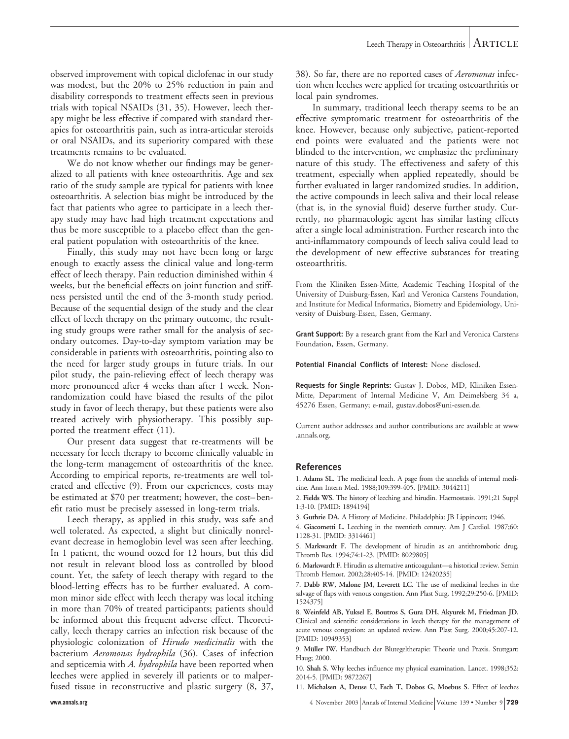observed improvement with topical diclofenac in our study was modest, but the 20% to 25% reduction in pain and disability corresponds to treatment effects seen in previous trials with topical NSAIDs (31, 35). However, leech therapy might be less effective if compared with standard therapies for osteoarthritis pain, such as intra-articular steroids or oral NSAIDs, and its superiority compared with these treatments remains to be evaluated.

We do not know whether our findings may be generalized to all patients with knee osteoarthritis. Age and sex ratio of the study sample are typical for patients with knee osteoarthritis. A selection bias might be introduced by the fact that patients who agree to participate in a leech therapy study may have had high treatment expectations and thus be more susceptible to a placebo effect than the general patient population with osteoarthritis of the knee.

Finally, this study may not have been long or large enough to exactly assess the clinical value and long-term effect of leech therapy. Pain reduction diminished within 4 weeks, but the beneficial effects on joint function and stiffness persisted until the end of the 3-month study period. Because of the sequential design of the study and the clear effect of leech therapy on the primary outcome, the resulting study groups were rather small for the analysis of secondary outcomes. Day-to-day symptom variation may be considerable in patients with osteoarthritis, pointing also to the need for larger study groups in future trials. In our pilot study, the pain-relieving effect of leech therapy was more pronounced after 4 weeks than after 1 week. Nonrandomization could have biased the results of the pilot study in favor of leech therapy, but these patients were also treated actively with physiotherapy. This possibly supported the treatment effect (11).

Our present data suggest that re-treatments will be necessary for leech therapy to become clinically valuable in the long-term management of osteoarthritis of the knee. According to empirical reports, re-treatments are well tolerated and effective (9). From our experiences, costs may be estimated at \$70 per treatment; however, the cost–benefit ratio must be precisely assessed in long-term trials.

Leech therapy, as applied in this study, was safe and well tolerated. As expected, a slight but clinically nonrelevant decrease in hemoglobin level was seen after leeching. In 1 patient, the wound oozed for 12 hours, but this did not result in relevant blood loss as controlled by blood count. Yet, the safety of leech therapy with regard to the blood-letting effects has to be further evaluated. A common minor side effect with leech therapy was local itching in more than 70% of treated participants; patients should be informed about this frequent adverse effect. Theoretically, leech therapy carries an infection risk because of the physiologic colonization of *Hirudo medicinalis* with the bacterium *Aeromonas hydrophila* (36). Cases of infection and septicemia with *A. hydrophila* have been reported when leeches were applied in severely ill patients or to malperfused tissue in reconstructive and plastic surgery (8, 37,

38). So far, there are no reported cases of *Aeromonas* infection when leeches were applied for treating osteoarthritis or local pain syndromes.

In summary, traditional leech therapy seems to be an effective symptomatic treatment for osteoarthritis of the knee. However, because only subjective, patient-reported end points were evaluated and the patients were not blinded to the intervention, we emphasize the preliminary nature of this study. The effectiveness and safety of this treatment, especially when applied repeatedly, should be further evaluated in larger randomized studies. In addition, the active compounds in leech saliva and their local release (that is, in the synovial fluid) deserve further study. Currently, no pharmacologic agent has similar lasting effects after a single local administration. Further research into the anti-inflammatory compounds of leech saliva could lead to the development of new effective substances for treating osteoarthritis.

From the Kliniken Essen-Mitte, Academic Teaching Hospital of the University of Duisburg-Essen, Karl and Veronica Carstens Foundation, and Institute for Medical Informatics, Biometry and Epidemiology, University of Duisburg-Essen, Essen, Germany.

**Grant Support:** By a research grant from the Karl and Veronica Carstens Foundation, Essen, Germany.

**Potential Financial Conflicts of Interest:** None disclosed.

**Requests for Single Reprints:** Gustav J. Dobos, MD, Kliniken Essen-Mitte, Department of Internal Medicine V, Am Deimelsberg 34 a, 45276 Essen, Germany; e-mail, gustav.dobos@uni-essen.de.

Current author addresses and author contributions are available at www .annals.org.

#### **References**

1. **Adams SL.** The medicinal leech. A page from the annelids of internal medicine. Ann Intern Med. 1988;109:399-405. [PMID: 3044211]

2. **Fields WS.** The history of leeching and hirudin. Haemostasis. 1991;21 Suppl 1:3-10. [PMID: 1894194]

3. **Guthrie DA.** A History of Medicine. Philadelphia: JB Lippincott; 1946.

4. **Giacometti L.** Leeching in the twentieth century. Am J Cardiol. 1987;60: 1128-31. [PMID: 3314461]

5. **Markwardt F.** The development of hirudin as an antithrombotic drug. Thromb Res. 1994;74:1-23. [PMID: 8029805]

6. **Markwardt F.** Hirudin as alternative anticoagulant—a historical review. Semin Thromb Hemost. 2002;28:405-14. [PMID: 12420235]

7. **Dabb RW, Malone JM, Leverett LC.** The use of medicinal leeches in the salvage of flaps with venous congestion. Ann Plast Surg. 1992;29:250-6. [PMID: 1524375]

8. **Weinfeld AB, Yuksel E, Boutros S, Gura DH, Akyurek M, Friedman JD.** Clinical and scientific considerations in leech therapy for the management of acute venous congestion: an updated review. Ann Plast Surg. 2000;45:207-12. [PMID: 10949353]

9. Müller IW. Handbuch der Blutegeltherapie: Theorie und Praxis. Stuttgart: Haug; 2000.

10. **Shah S.** Why leeches influence my physical examination. Lancet. 1998;352: 2014-5. [PMID: 9872267]

11. **Michalsen A, Deuse U, Esch T, Dobos G, Moebus S.** Effect of leeches

**www.annals.org** 4 November 2003 Annals of Internal Medicine Volume 139 • Number 9 **729**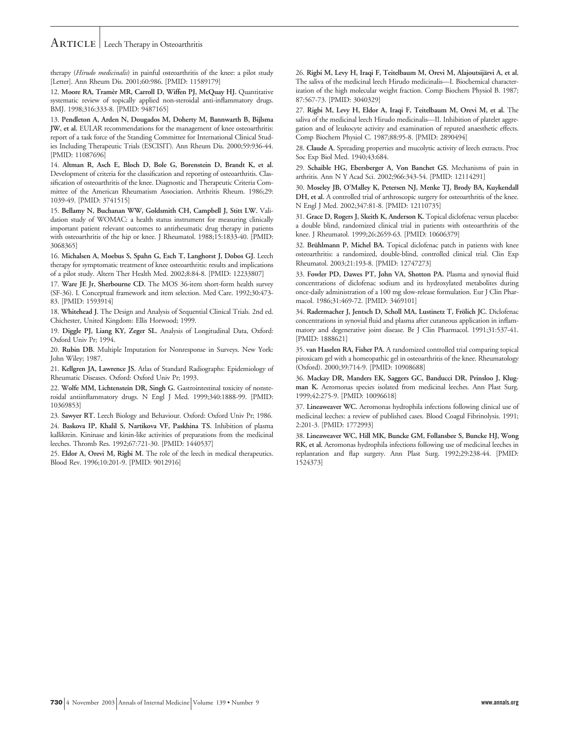# ARTICLE | Leech Therapy in Osteoarthritis

therapy (*Hirudo medicinalis*) in painful osteoarthritis of the knee: a pilot study [Letter]. Ann Rheum Dis. 2001;60:986. [PMID: 11589179]

12. Moore RA, Tramèr MR, Carroll D, Wiffen PJ, McQuay HJ. Quantitative systematic review of topically applied non-steroidal anti-inflammatory drugs. BMJ. 1998;316:333-8. [PMID: 9487165]

13. **Pendleton A, Arden N, Dougados M, Doherty M, Bannwarth B, Bijlsma JW, et al.** EULAR recommendations for the management of knee osteoarthritis: report of a task force of the Standing Committee for International Clinical Studies Including Therapeutic Trials (ESCISIT). Ann Rheum Dis. 2000;59:936-44. [PMID: 11087696]

14. **Altman R, Asch E, Bloch D, Bole G, Borenstein D, Brandt K, et al.** Development of criteria for the classification and reporting of osteoarthritis. Classification of osteoarthritis of the knee. Diagnostic and Therapeutic Criteria Committee of the American Rheumatism Association. Arthritis Rheum. 1986;29: 1039-49. [PMID: 3741515]

15. **Bellamy N, Buchanan WW, Goldsmith CH, Campbell J, Stitt LW.** Validation study of WOMAC: a health status instrument for measuring clinically important patient relevant outcomes to antirheumatic drug therapy in patients with osteoarthritis of the hip or knee. J Rheumatol. 1988;15:1833-40. [PMID: 3068365]

16. **Michalsen A, Moebus S, Spahn G, Esch T, Langhorst J, Dobos GJ.** Leech therapy for symptomatic treatment of knee osteoarthritis: results and implications of a pilot study. Altern Ther Health Med. 2002;8:84-8. [PMID: 12233807]

17. **Ware JE Jr, Sherbourne CD.** The MOS 36-item short-form health survey (SF-36). I. Conceptual framework and item selection. Med Care. 1992;30:473- 83. [PMID: 1593914]

18. **Whitehead J.** The Design and Analysis of Sequential Clinical Trials. 2nd ed. Chichester, United Kingdom: Ellis Horwood; 1999.

19. **Diggle PJ, Liang KY, Zeger SL.** Analysis of Longitudinal Data, Oxford: Oxford Univ Pr; 1994.

20. **Rubin DB.** Multiple Imputation for Nonresponse in Surveys. New York: John Wiley; 1987.

21. **Kellgren JA, Lawrence JS.** Atlas of Standard Radiographs: Epidemiology of Rheumatic Diseases. Oxford: Oxford Univ Pr; 1993.

22. **Wolfe MM, Lichtenstein DR, Singh G.** Gastrointestinal toxicity of nonsteroidal antiinflammatory drugs. N Engl J Med. 1999;340:1888-99. [PMID: 10369853]

23. **Sawyer RT.** Leech Biology and Behaviour. Oxford: Oxford Univ Pr; 1986.

24. **Baskova IP, Khalil S, Nartikova VF, Paskhina TS.** Inhibition of plasma kallikrein. Kininase and kinin-like activities of preparations from the medicinal leeches. Thromb Res. 1992;67:721-30. [PMID: 1440537]

25. **Eldor A, Orevi M, Rigbi M.** The role of the leech in medical therapeutics. Blood Rev. 1996;10:201-9. [PMID: 9012916]

26. Rigbi M, Levy H, Iraqi F, Teitelbaum M, Orevi M, Alajoutsijärvi A, et al. The saliva of the medicinal leech Hirudo medicinalis—I. Biochemical characterization of the high molecular weight fraction. Comp Biochem Physiol B. 1987; 87:567-73. [PMID: 3040329]

27. **Rigbi M, Levy H, Eldor A, Iraqi F, Teitelbaum M, Orevi M, et al.** The saliva of the medicinal leech Hirudo medicinalis—II. Inhibition of platelet aggregation and of leukocyte activity and examination of reputed anaesthetic effects. Comp Biochem Physiol C. 1987;88:95-8. [PMID: 2890494]

28. **Claude A.** Spreading properties and mucolytic activity of leech extracts. Proc Soc Exp Biol Med. 1940;43:684.

29. **Schaible HG, Ebersberger A, Von Banchet GS.** Mechanisms of pain in arthritis. Ann N Y Acad Sci. 2002;966:343-54. [PMID: 12114291]

30. **Moseley JB, O'Malley K, Petersen NJ, Menke TJ, Brody BA, Kuykendall DH, et al.** A controlled trial of arthroscopic surgery for osteoarthritis of the knee. N Engl J Med. 2002;347:81-8. [PMID: 12110735]

31. **Grace D, Rogers J, Skeith K, Anderson K.** Topical diclofenac versus placebo: a double blind, randomized clinical trial in patients with osteoarthritis of the knee. J Rheumatol. 1999;26:2659-63. [PMID: 10606379]

32. Brühlmann P, Michel BA. Topical diclofenac patch in patients with knee osteoarthritis: a randomized, double-blind, controlled clinical trial. Clin Exp Rheumatol. 2003;21:193-8. [PMID: 12747273]

33. **Fowler PD, Dawes PT, John VA, Shotton PA.** Plasma and synovial fluid concentrations of diclofenac sodium and its hydroxylated metabolites during once-daily administration of a 100 mg slow-release formulation. Eur J Clin Pharmacol. 1986;31:469-72. [PMID: 3469101]

34. Radermacher J, Jentsch D, Scholl MA, Lustinetz T, Frölich JC. Diclofenac concentrations in synovial fluid and plasma after cutaneous application in inflammatory and degenerative joint disease. Br J Clin Pharmacol. 1991;31:537-41. [PMID: 1888621]

35. **van Haselen RA, Fisher PA.** A randomized controlled trial comparing topical piroxicam gel with a homeopathic gel in osteoarthritis of the knee. Rheumatology (Oxford). 2000;39:714-9. [PMID: 10908688]

36. **Mackay DR, Manders EK, Saggers GC, Banducci DR, Prinsloo J, Klugman K.** Aeromonas species isolated from medicinal leeches. Ann Plast Surg. 1999;42:275-9. [PMID: 10096618]

37. **Lineaweaver WC.** Aeromonas hydrophila infections following clinical use of medicinal leeches: a review of published cases. Blood Coagul Fibrinolysis. 1991; 2:201-3. [PMID: 1772993]

38. **Lineaweaver WC, Hill MK, Buncke GM, Follansbee S, Buncke HJ, Wong RK, et al.** Aeromonas hydrophila infections following use of medicinal leeches in replantation and flap surgery. Ann Plast Surg. 1992;29:238-44. [PMID: 1524373]